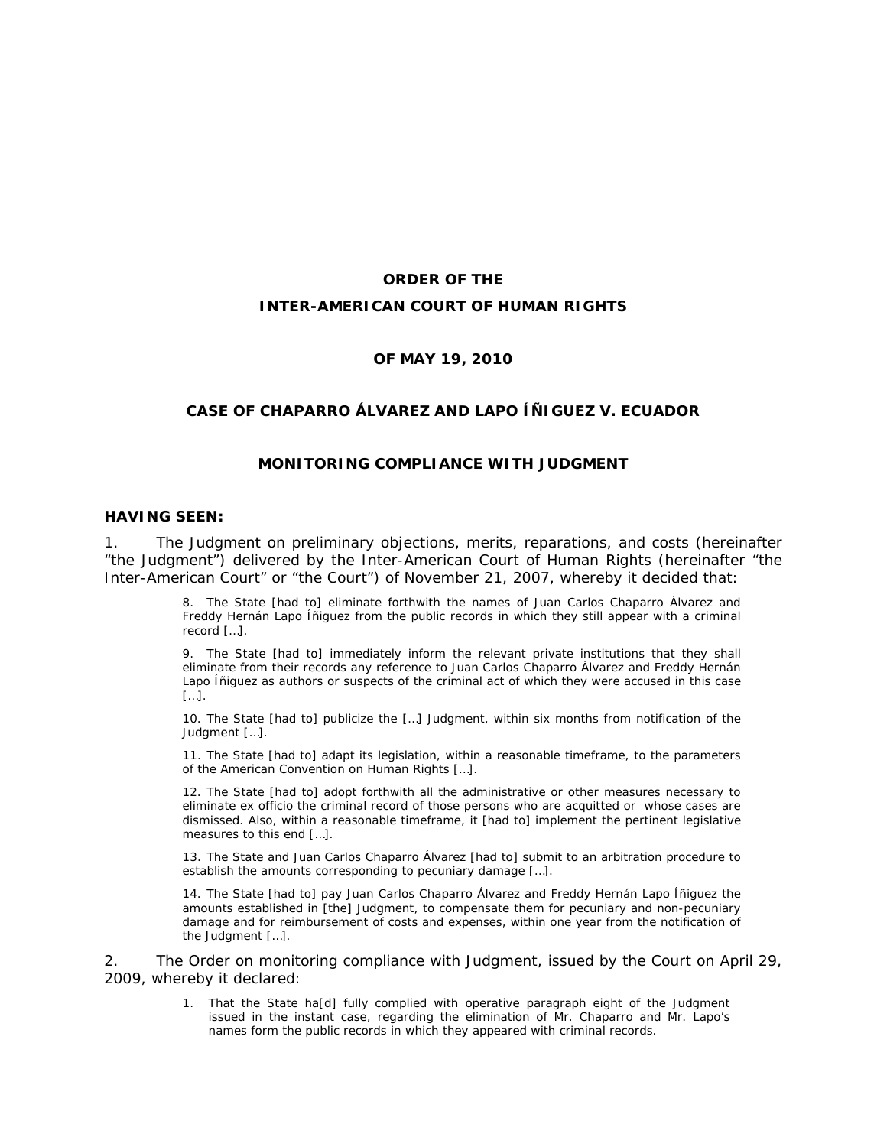# **ORDER OF THE INTER-AMERICAN COURT OF HUMAN RIGHTS**

#### **OF MAY 19, 2010**

### **CASE OF CHAPARRO ÁLVAREZ AND LAPO ÍÑIGUEZ** *V.* **ECUADOR**

### **MONITORING COMPLIANCE WITH JUDGMENT**

#### **HAVING SEEN:**

1. The Judgment on preliminary objections, merits, reparations, and costs (hereinafter "the Judgment") delivered by the Inter-American Court of Human Rights (hereinafter "the Inter-American Court" or "the Court") of November 21, 2007, whereby it decided that:

> 8. The State [had to] eliminate forthwith the names of Juan Carlos Chaparro Álvarez and Freddy Hernán Lapo Íñiguez from the public records in which they still appear with a criminal record […].

> 9. The State [had to] immediately inform the relevant private institutions that they shall eliminate from their records any reference to Juan Carlos Chaparro Álvarez and Freddy Hernán Lapo Íñiguez as authors or suspects of the criminal act of which they were accused in this case […].

> 10. The State [had to] publicize the […] Judgment, within six months from notification of the Judgment […].

> 11. The State [had to] adapt its legislation, within a reasonable timeframe, to the parameters of the American Convention on Human Rights […].

> 12. The State [had to] adopt forthwith all the administrative or other measures necessary to eliminate *ex officio* the criminal record of those persons who are acquitted or whose cases are dismissed. Also, within a reasonable timeframe, it [had to] implement the pertinent legislative measures to this end […].

> 13. The State and Juan Carlos Chaparro Álvarez [had to] submit to an arbitration procedure to establish the amounts corresponding to pecuniary damage […].

> 14. The State [had to] pay Juan Carlos Chaparro Álvarez and Freddy Hernán Lapo Íñiguez the amounts established in [the] Judgment, to compensate them for pecuniary and non-pecuniary damage and for reimbursement of costs and expenses, within one year from the notification of the Judgment […].

2. The Order on monitoring compliance with Judgment, issued by the Court on April 29, 2009, whereby it declared:

> 1. That the State ha[d] fully complied with operative paragraph eight of the Judgment issued in the instant case, regarding the elimination of Mr. Chaparro and Mr. Lapo's names form the public records in which they appeared with criminal records.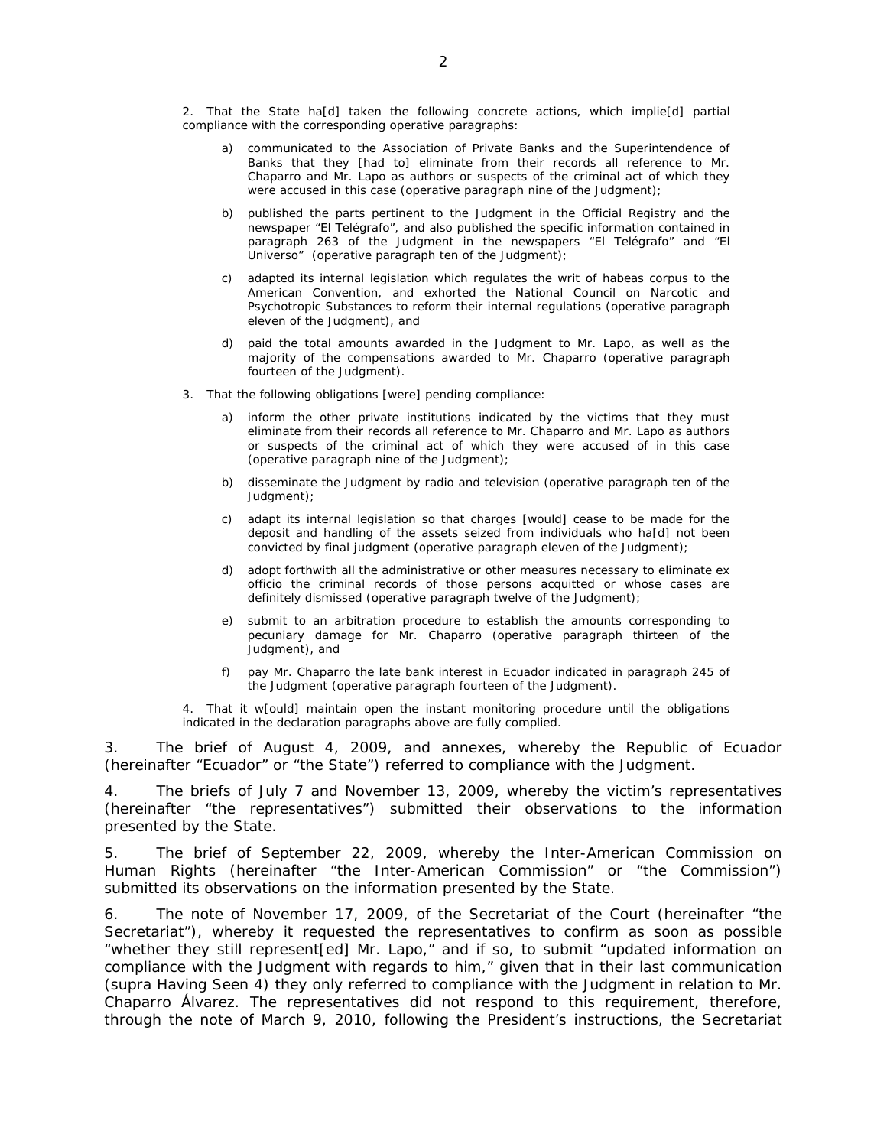2. That the State ha[d] taken the following concrete actions, which implie[d] partial compliance with the corresponding operative paragraphs:

- a) communicated to the Association of Private Banks and the Superintendence of Banks that they [had to] eliminate from their records all reference to Mr. Chaparro and Mr. Lapo as authors or suspects of the criminal act of which they were accused in this case *(operative paragraph nine of the Judgment)*;
- b) published the parts pertinent to the Judgment in the Official Registry and the newspaper "El Telégrafo", and also published the specific information contained in paragraph 263 of the Judgment in the newspapers "El Telégrafo" and "El Universo" *(operative paragraph ten of the Judgment)*;
- c) adapted its internal legislation which regulates the writ of habeas corpus to the American Convention, and exhorted the National Council on Narcotic and Psychotropic Substances to reform their internal regulations *(operative paragraph eleven of the Judgment),* and
- d) paid the total amounts awarded in the Judgment to Mr. Lapo, as well as the majority of the compensations awarded to Mr. Chaparro *(operative paragraph fourteen of the Judgment)*.
- 3. That the following obligations [were] pending compliance:
	- a) inform the other private institutions indicated by the victims that they must eliminate from their records all reference to Mr. Chaparro and Mr. Lapo as authors or suspects of the criminal act of which they were accused of in this case *(operative paragraph nine of the Judgment)*;
	- b) disseminate the Judgment by radio and television *(operative paragraph ten of the Judgment)*;
	- c) adapt its internal legislation so that charges [would] cease to be made for the deposit and handling of the assets seized from individuals who ha[d] not been convicted by final judgment *(operative paragraph eleven of the Judgment)*;
	- d) adopt forthwith all the administrative or other measures necessary to eliminate *ex officio* the criminal records of those persons acquitted or whose cases are definitely dismissed *(operative paragraph twelve of the Judgment)*;
	- e) submit to an arbitration procedure to establish the amounts corresponding to pecuniary damage for Mr. Chaparro *(operative paragraph thirteen of the Judgment)*, and
	- f) pay Mr. Chaparro the late bank interest in Ecuador indicated in paragraph 245 of the Judgment *(operative paragraph fourteen of the Judgment).*
- 4. That it w[ould] maintain open the instant monitoring procedure until the obligations indicated in the declaration paragraphs above are fully complied.

3. The brief of August 4, 2009, and annexes, whereby the Republic of Ecuador (hereinafter "Ecuador" or "the State") referred to compliance with the Judgment.

4. The briefs of July 7 and November 13, 2009, whereby the victim's representatives (hereinafter "the representatives") submitted their observations to the information presented by the State.

5. The brief of September 22, 2009, whereby the Inter-American Commission on Human Rights (hereinafter "the Inter-American Commission" or "the Commission") submitted its observations on the information presented by the State.

6. The note of November 17, 2009, of the Secretariat of the Court (hereinafter "the Secretariat"), whereby it requested the representatives to confirm as soon as possible "whether they still represent[ed] Mr. Lapo," and if so, to submit "updated information on compliance with the Judgment with regards to him," given that in their last communication (*supra* Having Seen 4) they only referred to compliance with the Judgment in relation to Mr. Chaparro Álvarez. The representatives did not respond to this requirement, therefore, through the note of March 9, 2010, following the President's instructions, the Secretariat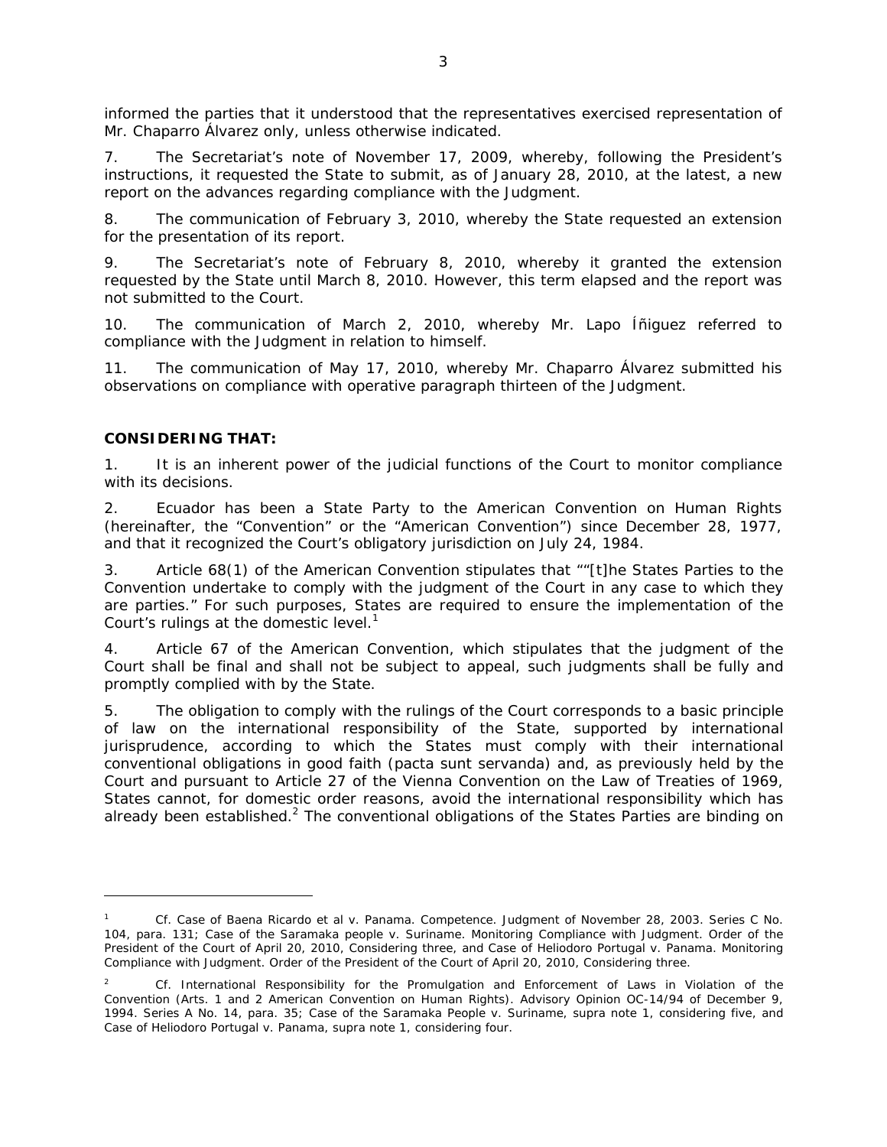informed the parties that it understood that the representatives exercised representation of Mr. Chaparro Álvarez only, unless otherwise indicated.

7. The Secretariat's note of November 17, 2009, whereby, following the President's instructions, it requested the State to submit, as of January 28, 2010, at the latest, a new report on the advances regarding compliance with the Judgment.

8. The communication of February 3, 2010, whereby the State requested an extension for the presentation of its report.

9. The Secretariat's note of February 8, 2010, whereby it granted the extension requested by the State until March 8, 2010. However, this term elapsed and the report was not submitted to the Court.

10. The communication of March 2, 2010, whereby Mr. Lapo Íñiguez referred to compliance with the Judgment in relation to himself.

11. The communication of May 17, 2010, whereby Mr. Chaparro Álvarez submitted his observations on compliance with operative paragraph thirteen of the Judgment.

## **CONSIDERING THAT:**

 $\overline{a}$ 

1. It is an inherent power of the judicial functions of the Court to monitor compliance with its decisions.

2. Ecuador has been a State Party to the American Convention on Human Rights (hereinafter, the "Convention" or the "American Convention") since December 28, 1977, and that it recognized the Court's obligatory jurisdiction on July 24, 1984.

3. Article 68(1) of the American Convention stipulates that ""[t]he States Parties to the Convention undertake to comply with the judgment of the Court in any case to which they are parties." For such purposes, States are required to ensure the implementation of the Court's rulings at the domestic level.<sup>1</sup>

4. Article 67 of the American Convention, which stipulates that the judgment of the Court shall be final and shall not be subject to appeal, such judgments shall be fully and promptly complied with by the State.

5. The obligation to comply with the rulings of the Court corresponds to a basic principle of law on the international responsibility of the State, supported by international jurisprudence, according to which the States must comply with their international conventional obligations in good faith *(pacta sunt servanda)* and, as previously held by the Court and pursuant to Article 27 of the Vienna Convention on the Law of Treaties of 1969, States cannot, for domestic order reasons, avoid the international responsibility which has already been established.<sup>2</sup> The conventional obligations of the States Parties are binding on

<sup>1</sup> *Cf. Case of Baena Ricardo et al v. Panama*. *Competence.* Judgment of November 28, 2003. Series C No. 104, para. 131; *Case of the Saramaka people v. Suriname. Monitoring Compliance with Judgment.* Order of the President of the Court of April 20, 2010, Considering three, and *Case of Heliodoro Portugal v. Panama. Monitoring Compliance with Judgment.* Order of the President of the Court of April 20, 2010, Considering three.

<sup>2</sup> *Cf. International Responsibility for the Promulgation and Enforcement of Laws in Violation of the Convention* (Arts. 1 and 2 American Convention on Human Rights). Advisory Opinion OC-14/94 of December 9, 1994. Series A No. 14, para. 35; *Case of the Saramaka People v. Suriname*, *supra* note 1, considering five, and *Case of Heliodoro Portugal v. Panama*, *supra* note 1, considering four*.*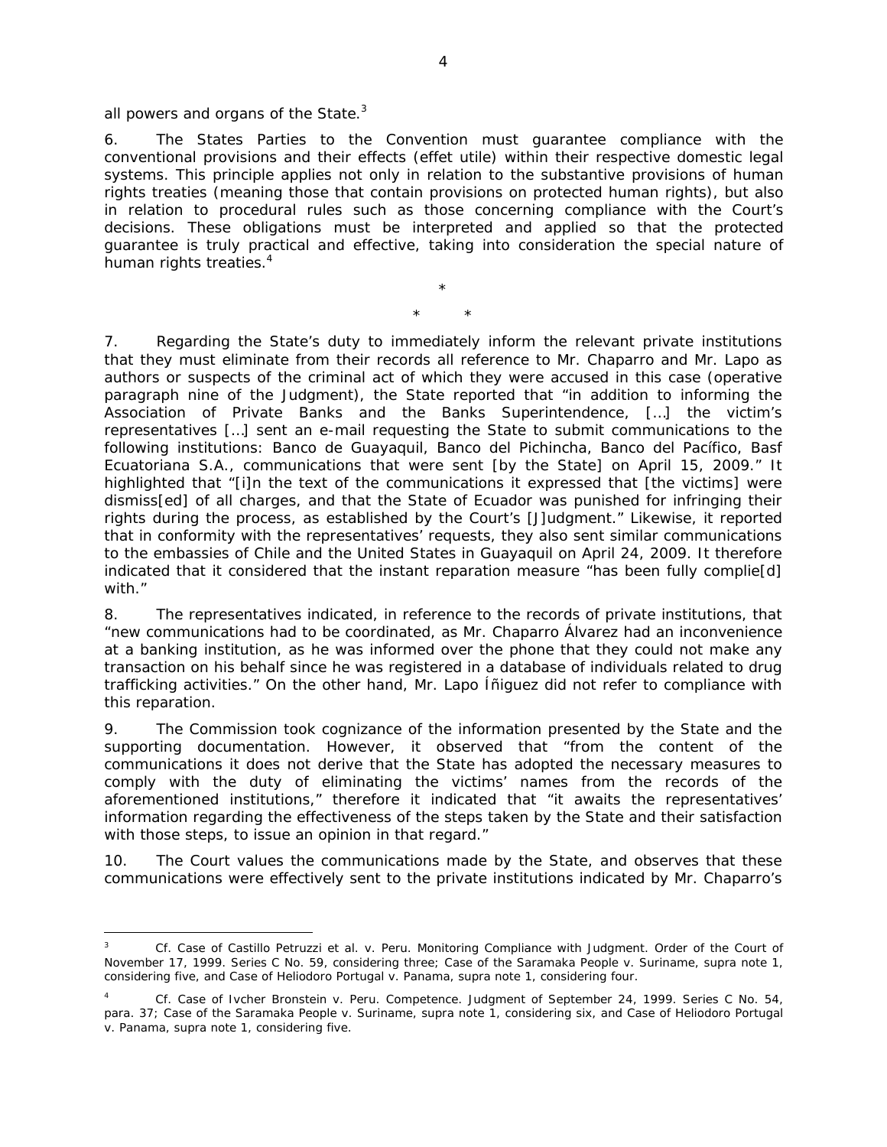all powers and organs of the State. $3$ 

 $\overline{a}$ 

6. The States Parties to the Convention must guarantee compliance with the conventional provisions and their effects (*effet utile*) within their respective domestic legal systems. This principle applies not only in relation to the substantive provisions of human rights treaties (meaning those that contain provisions on protected human rights), but also in relation to procedural rules such as those concerning compliance with the Court's decisions. These obligations must be interpreted and applied so that the protected guarantee is truly practical and effective, taking into consideration the special nature of human rights treaties.<sup>4</sup>

> \* \* \*

7. Regarding the State's duty to immediately inform the relevant private institutions that they must eliminate from their records all reference to Mr. Chaparro and Mr. Lapo as authors or suspects of the criminal act of which they were accused in this case *(operative paragraph nine of the Judgment)*, the State reported that "in addition to informing the Association of Private Banks and the Banks Superintendence, […] the victim's representatives […] sent an e-mail requesting the State to submit communications to the following institutions: Banco de Guayaquil, Banco del Pichincha, Banco del Pacífico, Basf Ecuatoriana S.A., communications that were sent [by the State] on April 15, 2009." It highlighted that "[i]n the text of the communications it expressed that [the victims] were dismiss[ed] of all charges, and that the State of Ecuador was punished for infringing their rights during the process, as established by the Court's [J]udgment." Likewise, it reported that in conformity with the representatives' requests, they also sent similar communications to the embassies of Chile and the United States in Guayaquil on April 24, 2009. It therefore indicated that it considered that the instant reparation measure "has been fully complie[d] with."

8. The representatives indicated, in reference to the records of private institutions, that "new communications had to be coordinated, as Mr. Chaparro Álvarez had an inconvenience at a banking institution, as he was informed over the phone that they could not make any transaction on his behalf since he was registered in a database of individuals related to drug trafficking activities." On the other hand, Mr. Lapo Íñiguez did not refer to compliance with this reparation.

9. The Commission took cognizance of the information presented by the State and the supporting documentation. However, it observed that "from the content of the communications it does not derive that the State has adopted the necessary measures to comply with the duty of eliminating the victims' names from the records of the aforementioned institutions," therefore it indicated that "it awaits the representatives' information regarding the effectiveness of the steps taken by the State and their satisfaction with those steps, to issue an opinion in that regard."

10. The Court values the communications made by the State, and observes that these communications were effectively sent to the private institutions indicated by Mr. Chaparro's

<sup>3</sup> *Cf. Case of Castillo Petruzzi et al. v. Peru. Monitoring Compliance with Judgment.* Order of the Court of November 17, 1999. Series C No. 59, considering three; *Case of the Saramaka People v. Suriname*, *supra* note 1, considering five, and *Case of Heliodoro Portugal v. Panama*, *supra* note 1, considering four.

<sup>4</sup> *Cf. Case of Ivcher Bronstein v. Peru. Competence.* Judgment of September 24, 1999. Series C No. 54, para. 37; *Case of the Saramaka People v. Suriname*, *supra* note 1, considering six, and *Case of Heliodoro Portugal v. Panama*, *supra* note 1, considering five.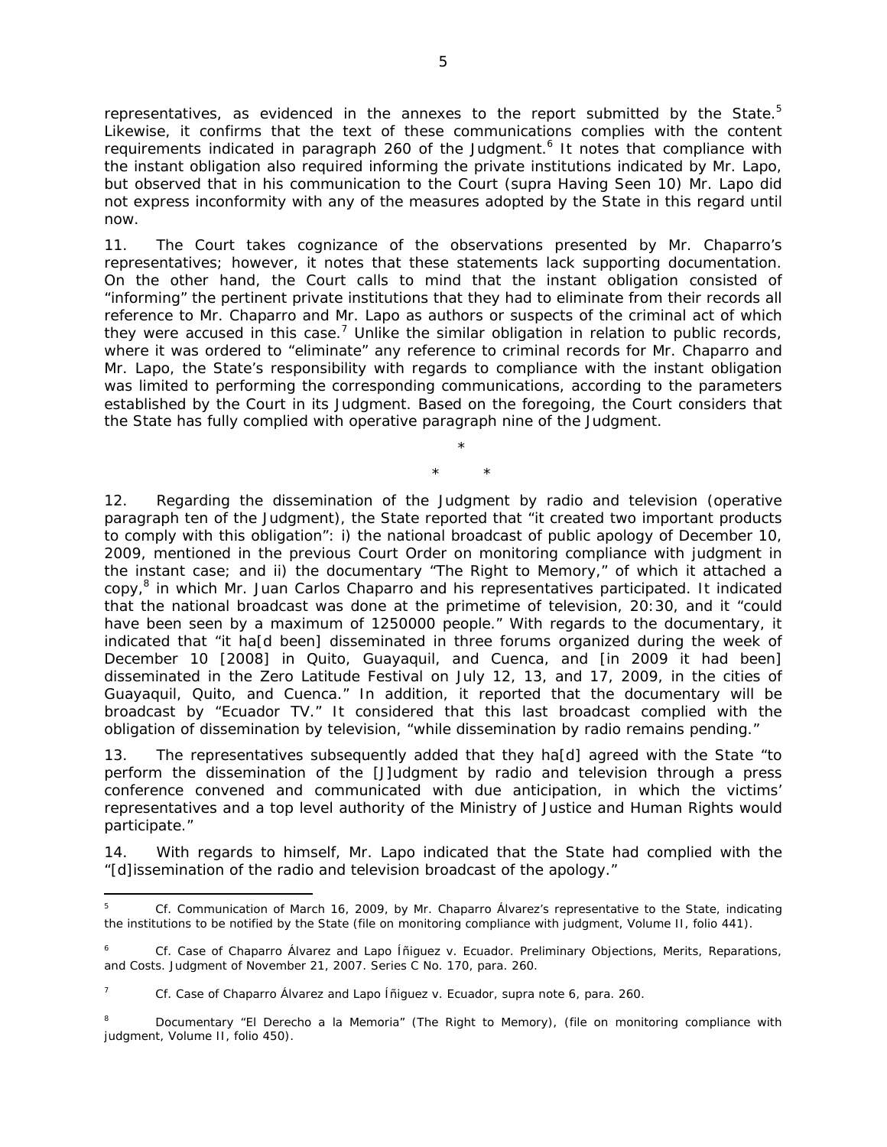representatives, as evidenced in the annexes to the report submitted by the State.<sup>5</sup> Likewise, it confirms that the text of these communications complies with the content requirements indicated in paragraph 260 of the Judgment.<sup>6</sup> It notes that compliance with the instant obligation also required informing the private institutions indicated by Mr. Lapo, but observed that in his communication to the Court (*supra* Having Seen 10) Mr. Lapo did not express inconformity with any of the measures adopted by the State in this regard until now.

11. The Court takes cognizance of the observations presented by Mr. Chaparro's representatives; however, it notes that these statements lack supporting documentation. On the other hand, the Court calls to mind that the instant obligation consisted of "informing" the pertinent private institutions that they had to eliminate from their records all reference to Mr. Chaparro and Mr. Lapo as authors or suspects of the criminal act of which they were accused in this case.<sup>7</sup> Unlike the similar obligation in relation to public records, where it was ordered to "eliminate" any reference to criminal records for Mr. Chaparro and Mr. Lapo, the State's responsibility with regards to compliance with the instant obligation was limited to performing the corresponding communications, according to the parameters established by the Court in its Judgment. Based on the foregoing, the Court considers that the State has fully complied with operative paragraph nine of the Judgment.

> \* \* \*

12. Regarding the dissemination of the Judgment by radio and television *(operative paragraph ten of the Judgment)*, the State reported that "it created two important products to comply with this obligation": i) the national broadcast of public apology of December 10, 2009, mentioned in the previous Court Order on monitoring compliance with judgment in the instant case; and ii) the documentary "The Right to Memory," of which it attached a copy,<sup>8</sup> in which Mr. Juan Carlos Chaparro and his representatives participated. It indicated that the national broadcast was done at the primetime of television, 20:30, and it "could have been seen by a maximum of 1250000 people." With regards to the documentary, it indicated that "it ha[d been] disseminated in three forums organized during the week of December 10 [2008] in Quito, Guayaquil, and Cuenca, and [in 2009 it had been] disseminated in the Zero Latitude Festival on July 12, 13, and 17, 2009, in the cities of Guayaquil, Quito, and Cuenca." In addition, it reported that the documentary will be broadcast by "Ecuador TV." It considered that this last broadcast complied with the obligation of dissemination by television, "while dissemination by radio remains pending."

13. The representatives subsequently added that they ha[d] agreed with the State "to perform the dissemination of the [J]udgment by radio and television through a press conference convened and communicated with due anticipation, in which the victims' representatives and a top level authority of the Ministry of Justice and Human Rights would participate."

14. With regards to himself, Mr. Lapo indicated that the State had complied with the "[d]issemination of the radio and television broadcast of the apology."

 $\overline{a}$ 5 *Cf.* Communication of March 16, 2009, by Mr. Chaparro Álvarez's representative to the State, indicating the institutions to be notified by the State (file on monitoring compliance with judgment, Volume II, folio 441).

<sup>6</sup> *Cf. Case of Chaparro Álvarez and Lapo Íñiguez v. Ecuador*. *Preliminary Objections, Merits, Reparations, and Costs.* Judgment of November 21, 2007. Series C No. 170, para. 260.

<sup>7</sup> *Cf. Case of Chaparro Álvarez and Lapo Íñiguez v. Ecuador*, *supra* note 6, para. 260.

<sup>8</sup> Documentary "El Derecho a la Memoria" (The Right to Memory), (file on monitoring compliance with judgment, Volume II, folio 450).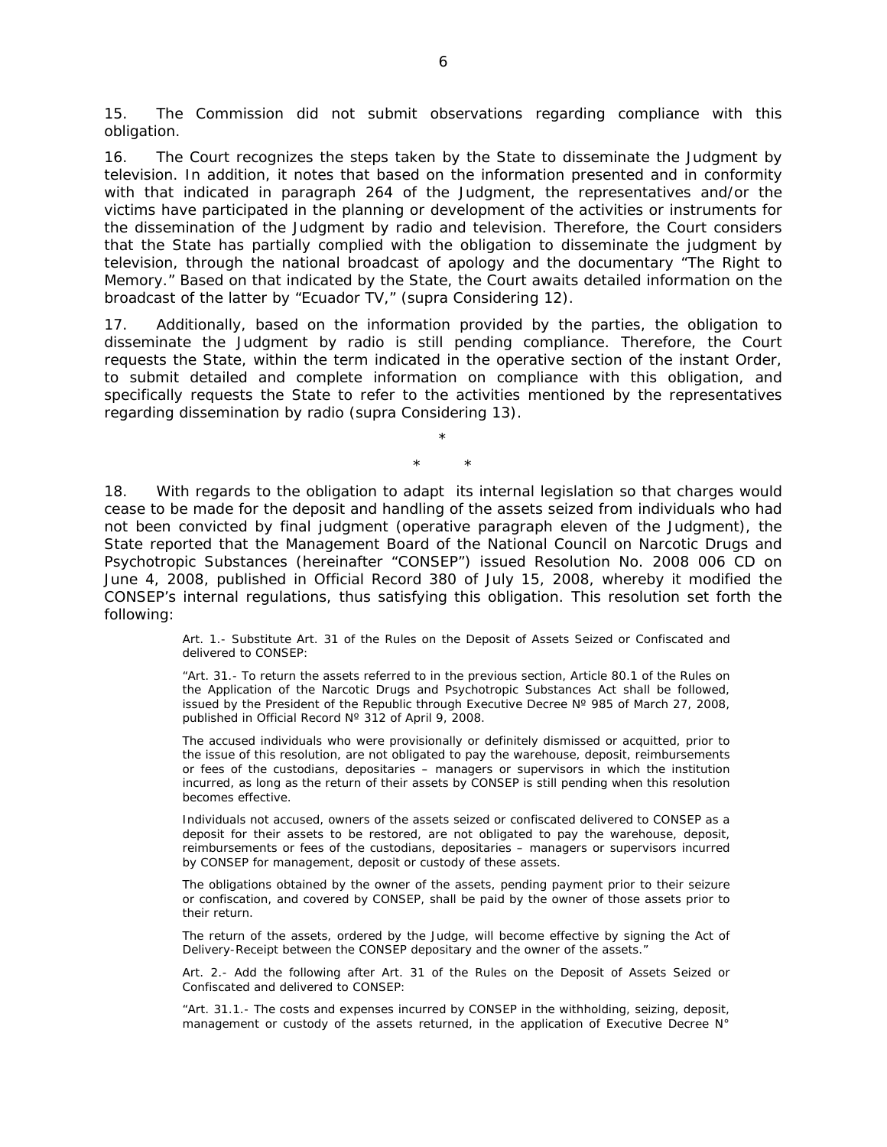15. The Commission did not submit observations regarding compliance with this obligation.

16. The Court recognizes the steps taken by the State to disseminate the Judgment by television. In addition, it notes that based on the information presented and in conformity with that indicated in paragraph 264 of the Judgment, the representatives and/or the victims have participated in the planning or development of the activities or instruments for the dissemination of the Judgment by radio and television. Therefore, the Court considers that the State has partially complied with the obligation to disseminate the judgment by television, through the national broadcast of apology and the documentary "The Right to Memory." Based on that indicated by the State, the Court awaits detailed information on the broadcast of the latter by "Ecuador TV," (*supra* Considering 12).

17. Additionally, based on the information provided by the parties, the obligation to disseminate the Judgment by radio is still pending compliance. Therefore, the Court requests the State, within the term indicated in the operative section of the instant Order, to submit detailed and complete information on compliance with this obligation, and specifically requests the State to refer to the activities mentioned by the representatives regarding dissemination by radio (*supra* Considering 13).

> \* \* \*

18. With regards to the obligation to adapt its internal legislation so that charges would cease to be made for the deposit and handling of the assets seized from individuals who had not been convicted by final judgment *(operative paragraph eleven of the Judgment)*, the State reported that the Management Board of the National Council on Narcotic Drugs and Psychotropic Substances (hereinafter "CONSEP") issued Resolution No. 2008 006 CD on June 4, 2008, published in Official Record 380 of July 15, 2008, whereby it modified the CONSEP's internal regulations, thus satisfying this obligation. This resolution set forth the following:

> Art. 1.- Substitute Art. 31 of the Rules on the Deposit of Assets Seized or Confiscated and delivered to CONSEP:

> "Art. 31.- To return the assets referred to in the previous section, Article 80.1 of the Rules on the Application of the Narcotic Drugs and Psychotropic Substances Act shall be followed, issued by the President of the Republic through Executive Decree Nº 985 of March 27, 2008, published in Official Record Nº 312 of April 9, 2008.

> The accused individuals who were provisionally or definitely dismissed or acquitted, prior to the issue of this resolution, are not obligated to pay the warehouse, deposit, reimbursements or fees of the custodians, depositaries – managers or supervisors in which the institution incurred, as long as the return of their assets by CONSEP is still pending when this resolution becomes effective.

> Individuals not accused, owners of the assets seized or confiscated delivered to CONSEP as a deposit for their assets to be restored, are not obligated to pay the warehouse, deposit, reimbursements or fees of the custodians, depositaries – managers or supervisors incurred by CONSEP for management, deposit or custody of these assets.

> The obligations obtained by the owner of the assets, pending payment prior to their seizure or confiscation, and covered by CONSEP, shall be paid by the owner of those assets prior to their return.

> The return of the assets, ordered by the Judge, will become effective by signing the Act of Delivery-Receipt between the CONSEP depositary and the owner of the assets."

> Art. 2.- Add the following after Art. 31 of the Rules on the Deposit of Assets Seized or Confiscated and delivered to CONSEP:

> "Art. 31.1.- The costs and expenses incurred by CONSEP in the withholding, seizing, deposit, management or custody of the assets returned, in the application of Executive Decree N°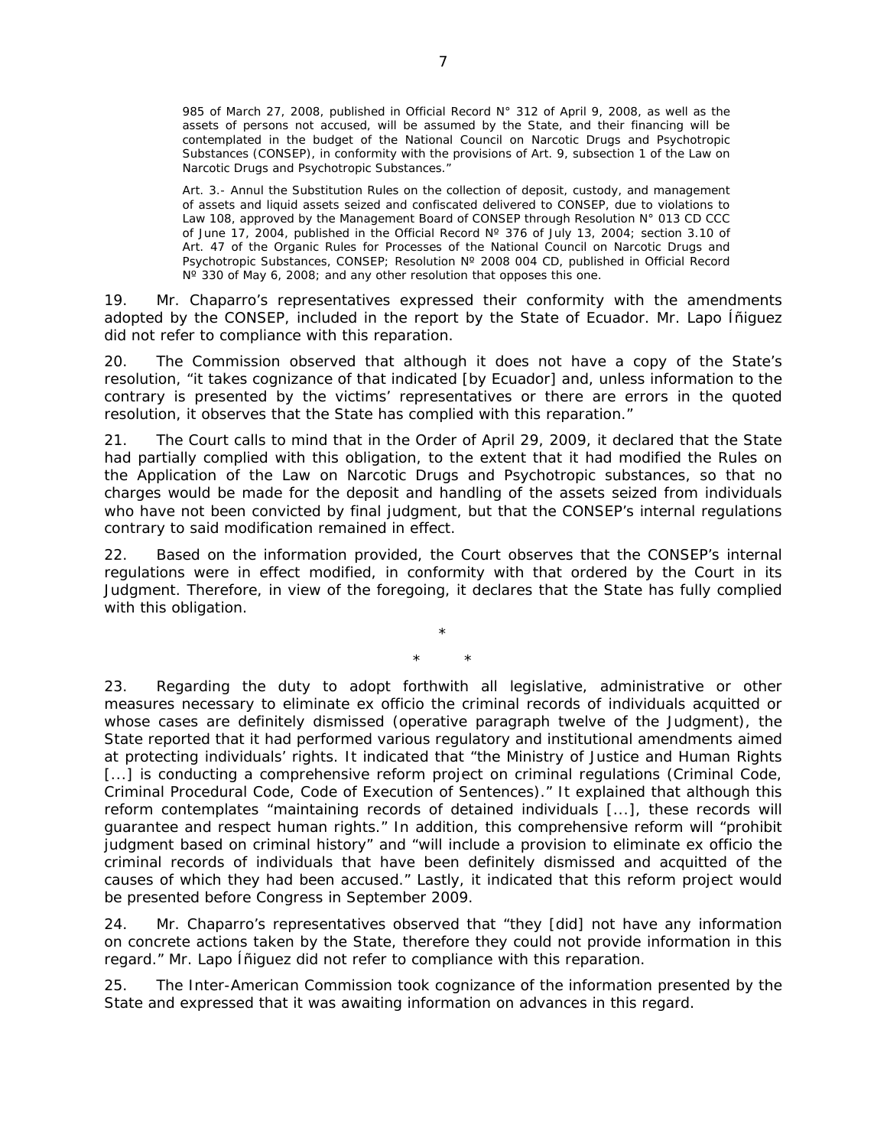985 of March 27, 2008, published in Official Record N° 312 of April 9, 2008, as well as the assets of persons not accused, will be assumed by the State, and their financing will be contemplated in the budget of the National Council on Narcotic Drugs and Psychotropic Substances (CONSEP), in conformity with the provisions of Art. 9, subsection 1 of the Law on Narcotic Drugs and Psychotropic Substances."

Art. 3.- Annul the Substitution Rules on the collection of deposit, custody, and management of assets and liquid assets seized and confiscated delivered to CONSEP, due to violations to Law 108, approved by the Management Board of CONSEP through Resolution N° 013 CD CCC of June 17, 2004, published in the Official Record Nº 376 of July 13, 2004; section 3.10 of Art. 47 of the Organic Rules for Processes of the National Council on Narcotic Drugs and Psychotropic Substances, CONSEP; Resolution Nº 2008 004 CD, published in Official Record N° 330 of May 6, 2008; and any other resolution that opposes this one.

19. Mr. Chaparro's representatives expressed their conformity with the amendments adopted by the CONSEP, included in the report by the State of Ecuador. Mr. Lapo Íñiguez did not refer to compliance with this reparation.

20. The Commission observed that although it does not have a copy of the State's resolution, "it takes cognizance of that indicated [by Ecuador] and, unless information to the contrary is presented by the victims' representatives or there are errors in the quoted resolution, it observes that the State has complied with this reparation."

21. The Court calls to mind that in the Order of April 29, 2009, it declared that the State had partially complied with this obligation, to the extent that it had modified the Rules on the Application of the Law on Narcotic Drugs and Psychotropic substances, so that no charges would be made for the deposit and handling of the assets seized from individuals who have not been convicted by final judgment, but that the CONSEP's internal regulations contrary to said modification remained in effect.

22. Based on the information provided, the Court observes that the CONSEP's internal regulations were in effect modified, in conformity with that ordered by the Court in its Judgment. Therefore, in view of the foregoing, it declares that the State has fully complied with this obligation.

> \* \* \*

23. Regarding the duty to adopt forthwith all legislative, administrative or other measures necessary to eliminate ex officio the criminal records of individuals acquitted or whose cases are definitely dismissed (*operative paragraph twelve of the Judgment*), the State reported that it had performed various regulatory and institutional amendments aimed at protecting individuals' rights. It indicated that "the Ministry of Justice and Human Rights [...] is conducting a comprehensive reform project on criminal regulations (Criminal Code, Criminal Procedural Code, Code of Execution of Sentences)." It explained that although this reform contemplates "maintaining records of detained individuals [...], these records will guarantee and respect human rights." In addition, this comprehensive reform will "prohibit judgment based on criminal history" and "will include a provision to eliminate ex officio the criminal records of individuals that have been definitely dismissed and acquitted of the causes of which they had been accused." Lastly, it indicated that this reform project would be presented before Congress in September 2009.

24. Mr. Chaparro's representatives observed that "they [did] not have any information on concrete actions taken by the State, therefore they could not provide information in this regard." Mr. Lapo Íñiguez did not refer to compliance with this reparation.

25. The Inter-American Commission took cognizance of the information presented by the State and expressed that it was awaiting information on advances in this regard.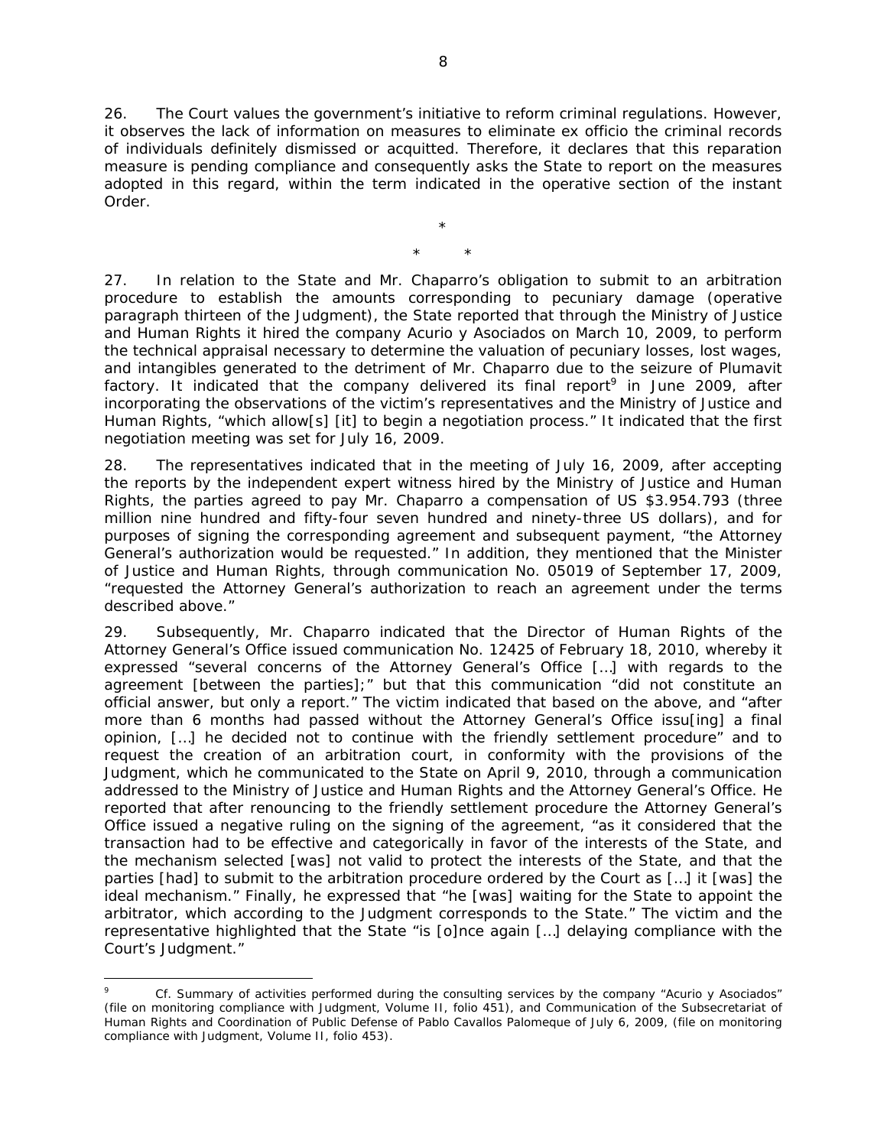26. The Court values the government's initiative to reform criminal regulations. However, it observes the lack of information on measures to eliminate ex officio the criminal records of individuals definitely dismissed or acquitted. Therefore, it declares that this reparation measure is pending compliance and consequently asks the State to report on the measures adopted in this regard, within the term indicated in the operative section of the instant Order.

> \* \* \*

27. In relation to the State and Mr. Chaparro's obligation to submit to an arbitration procedure to establish the amounts corresponding to pecuniary damage *(operative paragraph thirteen of the Judgment),* the State reported that through the Ministry of Justice and Human Rights it hired the company Acurio y Asociados on March 10, 2009, to perform the technical appraisal necessary to determine the valuation of pecuniary losses, lost wages, and intangibles generated to the detriment of Mr. Chaparro due to the seizure of Plumavit factory. It indicated that the company delivered its final report<sup>9</sup> in June 2009, after incorporating the observations of the victim's representatives and the Ministry of Justice and Human Rights, "which allow[s] [it] to begin a negotiation process." It indicated that the first negotiation meeting was set for July 16, 2009.

28. The representatives indicated that in the meeting of July 16, 2009, after accepting the reports by the independent expert witness hired by the Ministry of Justice and Human Rights, the parties agreed to pay Mr. Chaparro a compensation of US \$3.954.793 (three million nine hundred and fifty-four seven hundred and ninety-three US dollars), and for purposes of signing the corresponding agreement and subsequent payment, "the Attorney General's authorization would be requested." In addition, they mentioned that the Minister of Justice and Human Rights, through communication No. 05019 of September 17, 2009, "requested the Attorney General's authorization to reach an agreement under the terms described above."

29. Subsequently, Mr. Chaparro indicated that the Director of Human Rights of the Attorney General's Office issued communication No. 12425 of February 18, 2010, whereby it expressed "several concerns of the Attorney General's Office […] with regards to the agreement [between the parties];" but that this communication "did not constitute an official answer, but only a report." The victim indicated that based on the above, and "after more than 6 months had passed without the Attorney General's Office issu[ing] a final opinion, […] he decided not to continue with the friendly settlement procedure" and to request the creation of an arbitration court, in conformity with the provisions of the Judgment, which he communicated to the State on April 9, 2010, through a communication addressed to the Ministry of Justice and Human Rights and the Attorney General's Office. He reported that after renouncing to the friendly settlement procedure the Attorney General's Office issued a negative ruling on the signing of the agreement, "as it considered that the transaction had to be effective and categorically in favor of the interests of the State, and the mechanism selected [was] not valid to protect the interests of the State, and that the parties [had] to submit to the arbitration procedure ordered by the Court as […] it [was] the ideal mechanism." Finally, he expressed that "he [was] waiting for the State to appoint the arbitrator, which according to the Judgment corresponds to the State." The victim and the representative highlighted that the State "is [o]nce again […] delaying compliance with the Court's Judgment."

 $\overline{a}$ 

<sup>9</sup> *Cf.* Summary of activities performed during the consulting services by the company "Acurio y Asociados" (file on monitoring compliance with Judgment, Volume II, folio 451), and Communication of the Subsecretariat of Human Rights and Coordination of Public Defense of Pablo Cavallos Palomeque of July 6, 2009, (file on monitoring compliance with Judgment, Volume II, folio 453).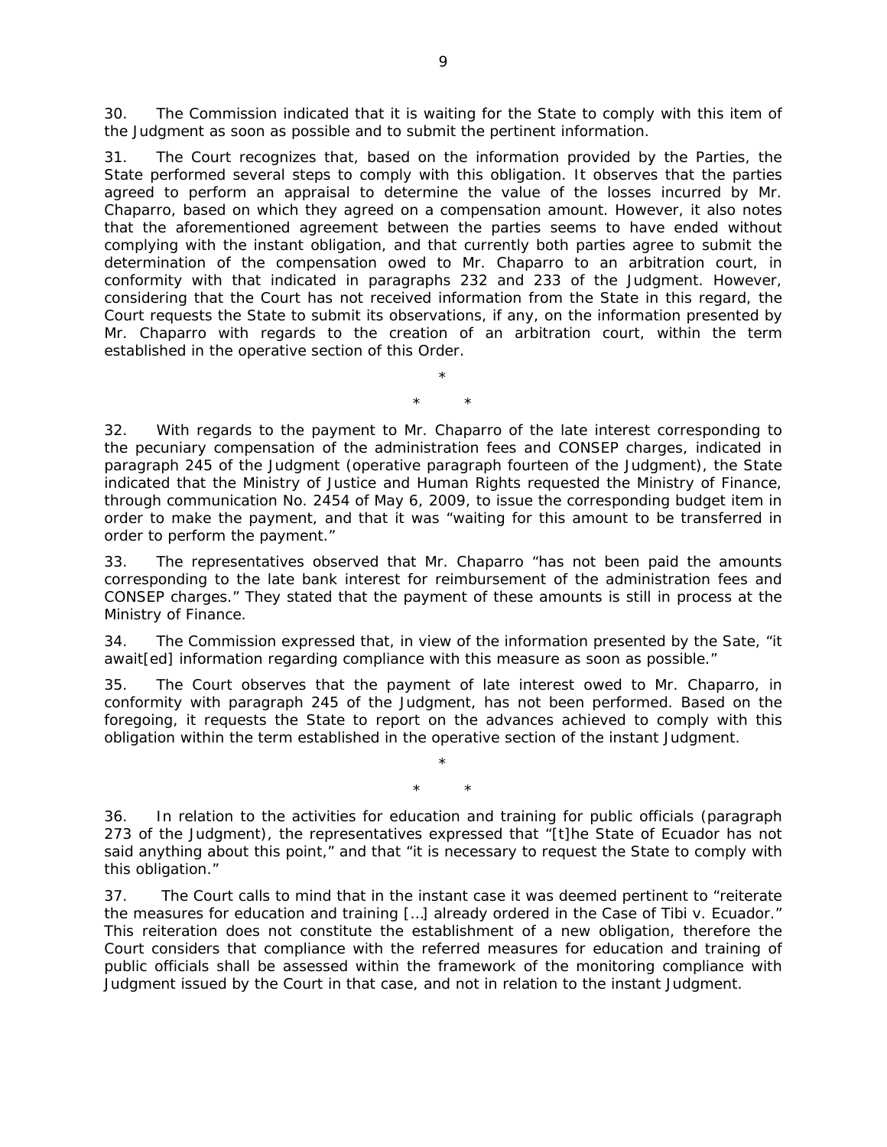30. The Commission indicated that it is waiting for the State to comply with this item of the Judgment as soon as possible and to submit the pertinent information.

31. The Court recognizes that, based on the information provided by the Parties, the State performed several steps to comply with this obligation. It observes that the parties agreed to perform an appraisal to determine the value of the losses incurred by Mr. Chaparro, based on which they agreed on a compensation amount. However, it also notes that the aforementioned agreement between the parties seems to have ended without complying with the instant obligation, and that currently both parties agree to submit the determination of the compensation owed to Mr. Chaparro to an arbitration court, in conformity with that indicated in paragraphs 232 and 233 of the Judgment. However, considering that the Court has not received information from the State in this regard, the Court requests the State to submit its observations, if any, on the information presented by Mr. Chaparro with regards to the creation of an arbitration court, within the term established in the operative section of this Order.

> \* \* \*

32. With regards to the payment to Mr. Chaparro of the late interest corresponding to the pecuniary compensation of the administration fees and CONSEP charges, indicated in paragraph 245 of the Judgment *(operative paragraph fourteen of the Judgment*), the State indicated that the Ministry of Justice and Human Rights requested the Ministry of Finance, through communication No. 2454 of May 6, 2009, to issue the corresponding budget item in order to make the payment, and that it was "waiting for this amount to be transferred in order to perform the payment."

33. The representatives observed that Mr. Chaparro "has not been paid the amounts corresponding to the late bank interest for reimbursement of the administration fees and CONSEP charges." They stated that the payment of these amounts is still in process at the Ministry of Finance.

34. The Commission expressed that, in view of the information presented by the Sate, "it await[ed] information regarding compliance with this measure as soon as possible."

35. The Court observes that the payment of late interest owed to Mr. Chaparro, in conformity with paragraph 245 of the Judgment, has not been performed. Based on the foregoing, it requests the State to report on the advances achieved to comply with this obligation within the term established in the operative section of the instant Judgment.

> \* \* \*

36. In relation to the activities for education and training for public officials *(paragraph 273 of the Judgment*), the representatives expressed that "[t]he State of Ecuador has not said anything about this point," and that "it is necessary to request the State to comply with this obligation."

37. The Court calls to mind that in the instant case it was deemed pertinent to "reiterate the measures for education and training […] already ordered in the *Case of Tibi v. Ecuador.*" This reiteration does not constitute the establishment of a new obligation, therefore the Court considers that compliance with the referred measures for education and training of public officials shall be assessed within the framework of the monitoring compliance with Judgment issued by the Court in that case, and not in relation to the instant Judgment.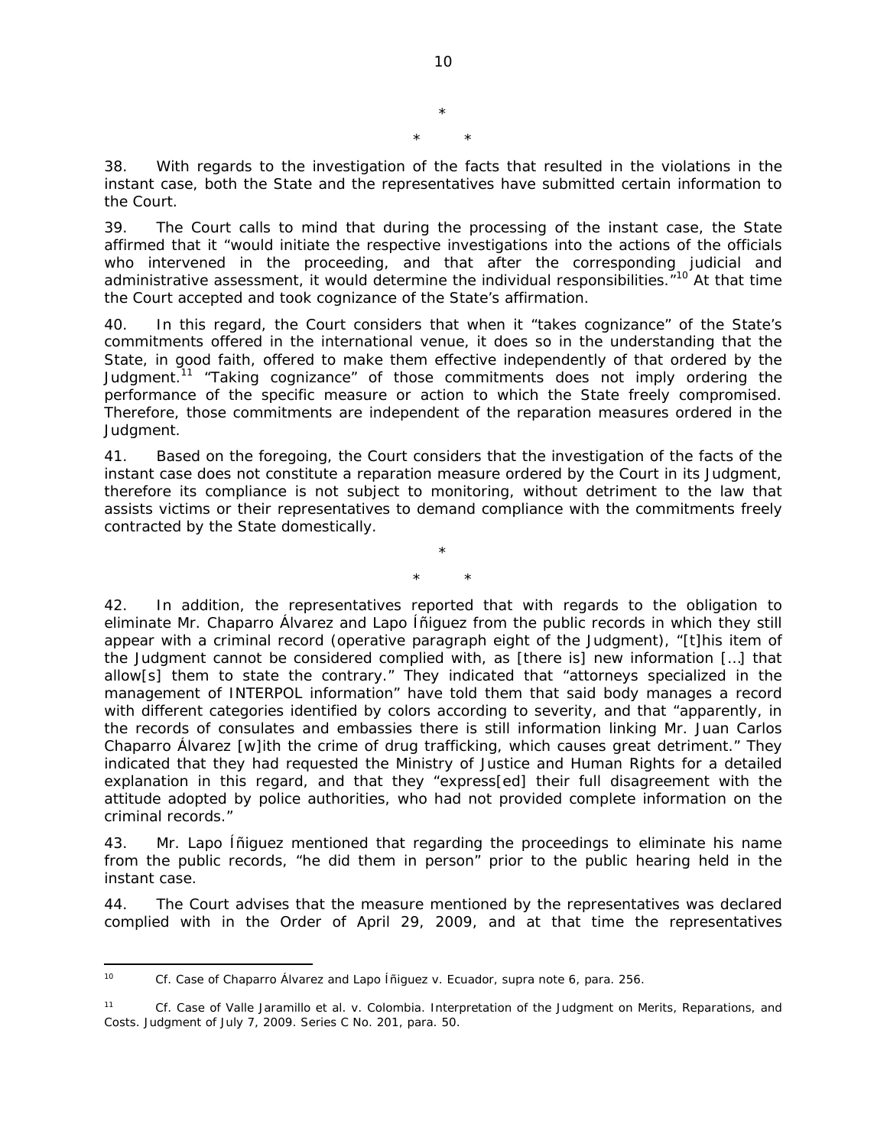\* \* \*

38. With regards to the investigation of the facts that resulted in the violations in the instant case, both the State and the representatives have submitted certain information to the Court.

39. The Court calls to mind that during the processing of the instant case, the State affirmed that it "would initiate the respective investigations into the actions of the officials who intervened in the proceeding, and that after the corresponding judicial and administrative assessment, it would determine the individual responsibilities.<sup>"10</sup> At that time the Court accepted and took cognizance of the State's affirmation.

40. In this regard, the Court considers that when it "takes cognizance" of the State's commitments offered in the international venue, it does so in the understanding that the State, in good faith, offered to make them effective independently of that ordered by the Judgment.<sup>11</sup> "Taking cognizance" of those commitments does not imply ordering the performance of the specific measure or action to which the State freely compromised. Therefore, those commitments are independent of the reparation measures ordered in the Judgment.

41. Based on the foregoing, the Court considers that the investigation of the facts of the instant case does not constitute a reparation measure ordered by the Court in its Judgment, therefore its compliance is not subject to monitoring, without detriment to the law that assists victims or their representatives to demand compliance with the commitments freely contracted by the State domestically.

> \* \* \*

42. In addition, the representatives reported that with regards to the obligation to eliminate Mr. Chaparro Álvarez and Lapo Íñiguez from the public records in which they still appear with a criminal record *(operative paragraph eight of the Judgment)*, "[t]his item of the Judgment cannot be considered complied with, as [there is] new information […] that allow[s] them to state the contrary." They indicated that "attorneys specialized in the management of INTERPOL information" have told them that said body manages a record with different categories identified by colors according to severity, and that "apparently, in the records of consulates and embassies there is still information linking Mr. Juan Carlos Chaparro Álvarez [w]ith the crime of drug trafficking, which causes great detriment." They indicated that they had requested the Ministry of Justice and Human Rights for a detailed explanation in this regard, and that they "express[ed] their full disagreement with the attitude adopted by police authorities, who had not provided complete information on the criminal records."

43. Mr. Lapo Íñiguez mentioned that regarding the proceedings to eliminate his name from the public records, "he did them in person" prior to the public hearing held in the instant case.

44. The Court advises that the measure mentioned by the representatives was declared complied with in the Order of April 29, 2009, and at that time the representatives

 $10<sup>10</sup>$ 10 *Cf. Case of Chaparro Álvarez and Lapo Íñiguez v. Ecuador*, *supra* note 6, para. 256.

<sup>11</sup> *Cf. Case of Valle Jaramillo et al. v. Colombia. Interpretation of the Judgment on Merits, Reparations, and Costs.* Judgment of July 7, 2009. Series C No. 201, para. 50.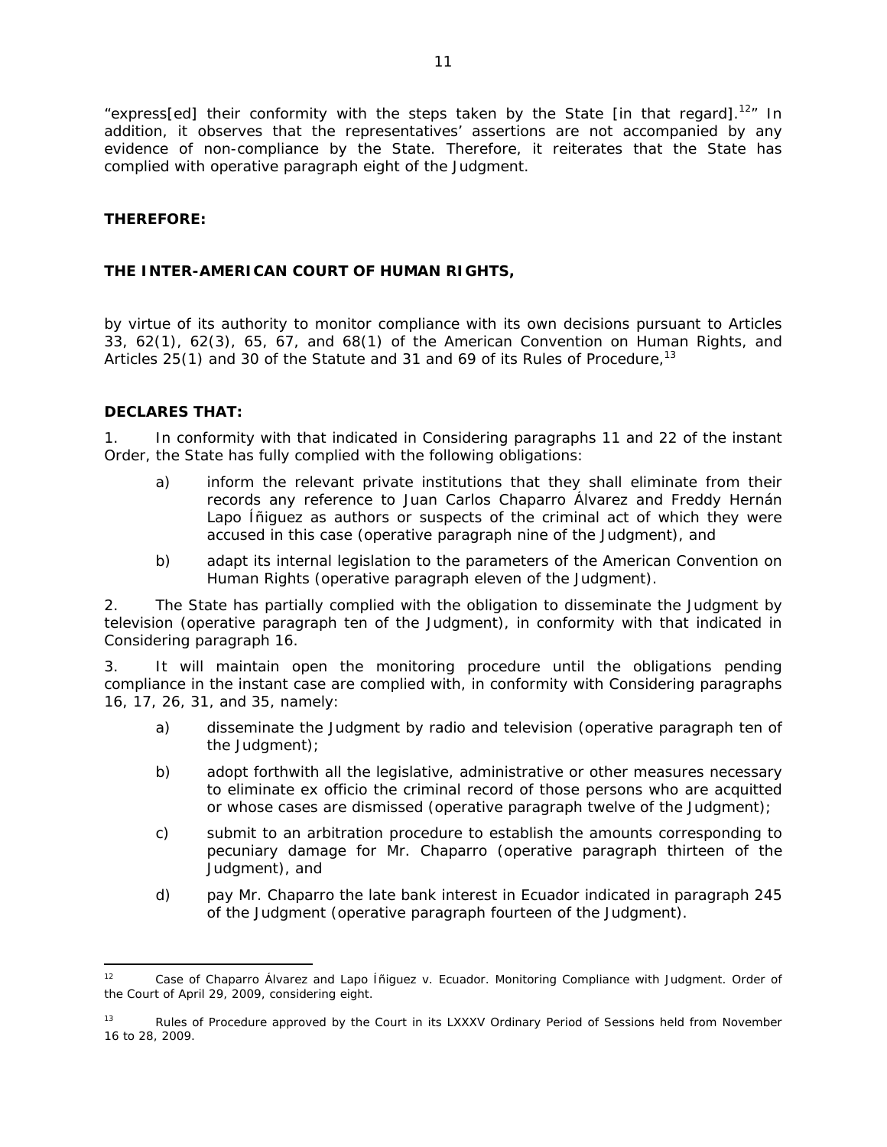"express[ed] their conformity with the steps taken by the State [in that regard].<sup>12</sup>" In addition, it observes that the representatives' assertions are not accompanied by any evidence of non-compliance by the State. Therefore, it reiterates that the State has complied with operative paragraph eight of the Judgment.

### **THEREFORE:**

## **THE INTER-AMERICAN COURT OF HUMAN RIGHTS,**

by virtue of its authority to monitor compliance with its own decisions pursuant to Articles 33, 62(1), 62(3), 65, 67, and 68(1) of the American Convention on Human Rights, and Articles 25(1) and 30 of the Statute and 31 and 69 of its Rules of Procedure,<sup>13</sup>

### **DECLARES THAT:**

1. In conformity with that indicated in Considering paragraphs 11 and 22 of the instant Order, the State has fully complied with the following obligations:

- a) inform the relevant private institutions that they shall eliminate from their records any reference to Juan Carlos Chaparro Álvarez and Freddy Hernán Lapo Íñiguez as authors or suspects of the criminal act of which they were accused in this case *(operative paragraph nine of the Judgment)*, and
- b) adapt its internal legislation to the parameters of the American Convention on Human Rights *(operative paragraph eleven of the Judgment)*.

2. The State has partially complied with the obligation to disseminate the Judgment by television *(operative paragraph ten of the Judgment)*, in conformity with that indicated in Considering paragraph 16.

3. It will maintain open the monitoring procedure until the obligations pending compliance in the instant case are complied with, in conformity with Considering paragraphs 16, 17, 26, 31, and 35, namely:

- a) disseminate the Judgment by radio and television *(operative paragraph ten of the Judgment)*;
- b) adopt forthwith all the legislative, administrative or other measures necessary to eliminate *ex officio* the criminal record of those persons who are acquitted or whose cases are dismissed *(operative paragraph twelve of the Judgment)*;
- c) submit to an arbitration procedure to establish the amounts corresponding to pecuniary damage for Mr. Chaparro *(operative paragraph thirteen of the Judgment)*, and
- d) pay Mr. Chaparro the late bank interest in Ecuador indicated in paragraph 245 of the Judgment *(operative paragraph fourteen of the Judgment)*.

 $\overline{a}$ 12 *Case of Chaparro Álvarez and Lapo Íñiguez v. Ecuador. Monitoring Compliance with Judgment*. Order of the Court of April 29, 2009, considering eight.

<sup>&</sup>lt;sup>13</sup> Rules of Procedure approved by the Court in its LXXXV Ordinary Period of Sessions held from November 16 to 28, 2009.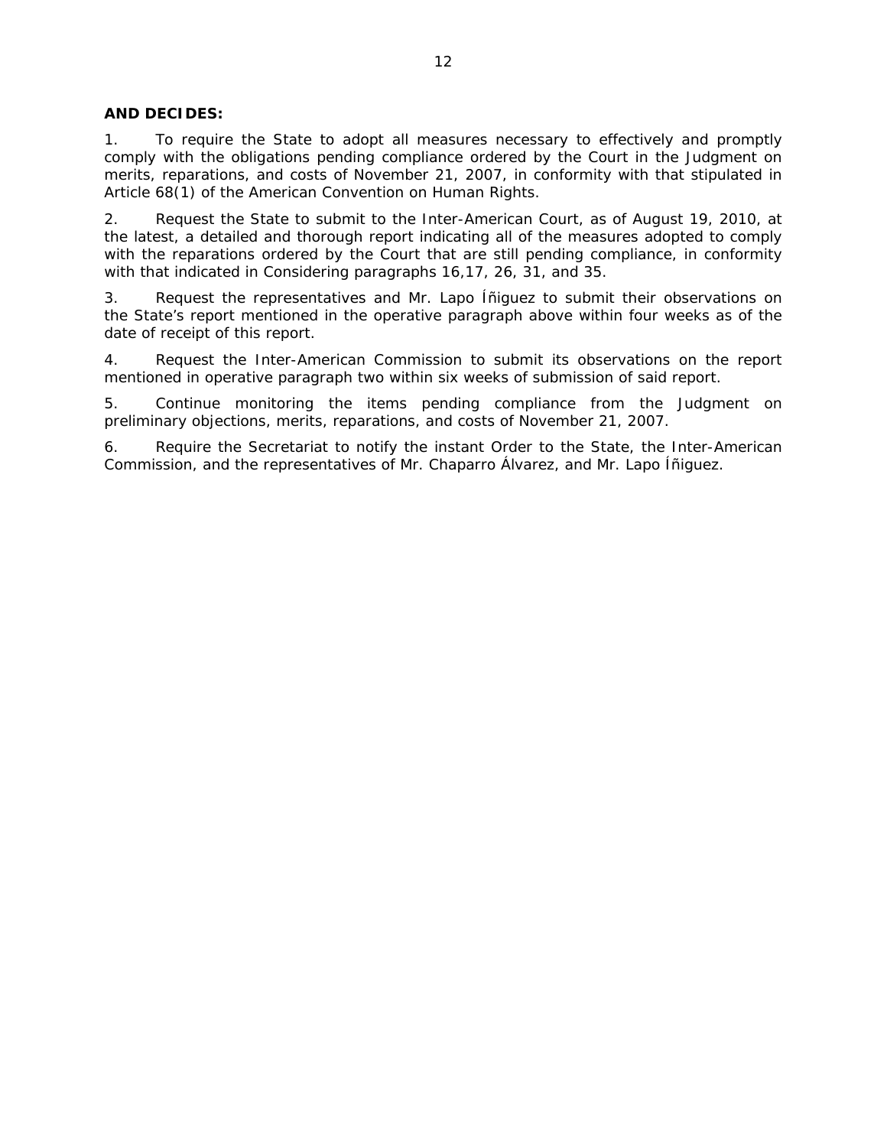### **AND DECIDES:**

1. To require the State to adopt all measures necessary to effectively and promptly comply with the obligations pending compliance ordered by the Court in the Judgment on merits, reparations, and costs of November 21, 2007, in conformity with that stipulated in Article 68(1) of the American Convention on Human Rights.

2. Request the State to submit to the Inter-American Court, as of August 19, 2010, at the latest, a detailed and thorough report indicating all of the measures adopted to comply with the reparations ordered by the Court that are still pending compliance, in conformity with that indicated in Considering paragraphs 16,17, 26, 31, and 35.

3. Request the representatives and Mr. Lapo Íñiguez to submit their observations on the State's report mentioned in the operative paragraph above within four weeks as of the date of receipt of this report.

4. Request the Inter-American Commission to submit its observations on the report mentioned in operative paragraph two within six weeks of submission of said report.

5. Continue monitoring the items pending compliance from the Judgment on preliminary objections, merits, reparations, and costs of November 21, 2007.

6. Require the Secretariat to notify the instant Order to the State, the Inter-American Commission, and the representatives of Mr. Chaparro Álvarez, and Mr. Lapo Íñiguez.